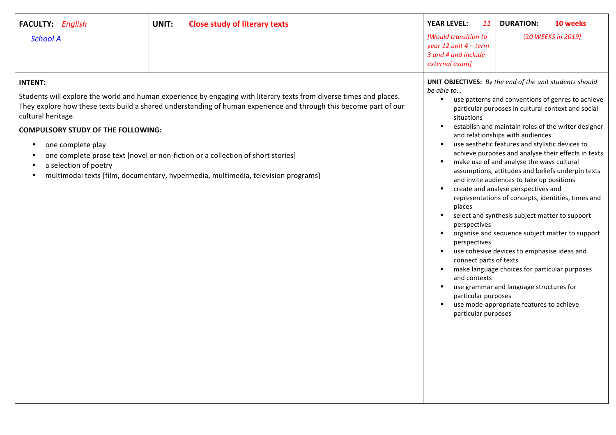| FACULTY: English<br><b>School A</b>                                                                                                                       | <b>Close study of literary texts</b><br>UNIT:                                                                                                                                                                                                                                                                                                                                                                    | <b>YEAR LEVEL:</b><br>11<br>[Would transition to<br>year 12 unit $4$ – term<br>3 and 4 and include<br>external exam]                                                                           | <b>DURATION:</b><br>10 weeks<br>[20 WEEKS in 2019]                                                                                                                                                                                                                                                                                                                                                                                                                                                                                                                                                                                                                                                                                                                                                                                                                                                                     |
|-----------------------------------------------------------------------------------------------------------------------------------------------------------|------------------------------------------------------------------------------------------------------------------------------------------------------------------------------------------------------------------------------------------------------------------------------------------------------------------------------------------------------------------------------------------------------------------|------------------------------------------------------------------------------------------------------------------------------------------------------------------------------------------------|------------------------------------------------------------------------------------------------------------------------------------------------------------------------------------------------------------------------------------------------------------------------------------------------------------------------------------------------------------------------------------------------------------------------------------------------------------------------------------------------------------------------------------------------------------------------------------------------------------------------------------------------------------------------------------------------------------------------------------------------------------------------------------------------------------------------------------------------------------------------------------------------------------------------|
| <b>INTENT:</b><br>cultural heritage.<br><b>COMPULSORY STUDY OF THE FOLLOWING:</b><br>one complete play<br>$\bullet$<br>a selection of poetry<br>$\bullet$ | Students will explore the world and human experience by engaging with literary texts from diverse times and places.<br>They explore how these texts build a shared understanding of human experience and through this become part of our<br>one complete prose text [novel or non-fiction or a collection of short stories]<br>multimodal texts [film, documentary, hypermedia, multimedia, television programs] | be able to<br>$\blacksquare$<br>situations<br>$\blacksquare$<br>places<br>perspectives<br>perspectives<br>connect parts of texts<br>and contexts<br>particular purposes<br>particular purposes | <b>UNIT OBJECTIVES:</b> By the end of the unit students should<br>use patterns and conventions of genres to achieve<br>particular purposes in cultural context and social<br>establish and maintain roles of the writer designer<br>and relationships with audiences<br>use aesthetic features and stylistic devices to<br>achieve purposes and analyse their effects in texts<br>make use of and analyse the ways cultural<br>assumptions, attitudes and beliefs underpin texts<br>and invite audiences to take up positions<br>create and analyse perspectives and<br>representations of concepts, identities, times and<br>select and synthesis subject matter to support<br>organise and sequence subject matter to support<br>use cohesive devices to emphasise ideas and<br>make language choices for particular purposes<br>use grammar and language structures for<br>use mode-appropriate features to achieve |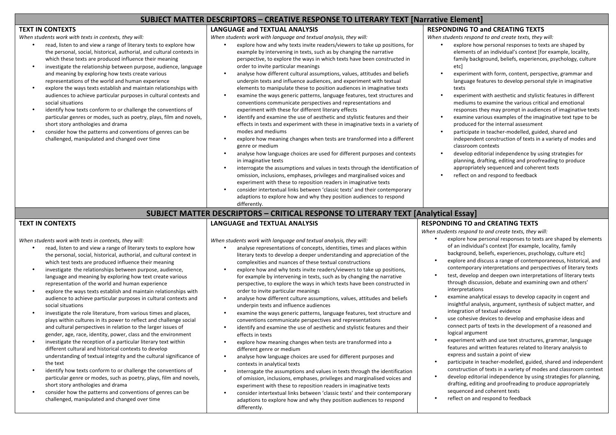## **SUBJECT MATTER DESCRIPTORS – CREATIVE RESPONSE TO LITERARY TEXT [Narrative Element]**

#### **TEXT IN CONTEXTS**

When students work with texts in contexts, they will:

- read, listen to and view a range of literary texts to explore how the personal, social, historical, authorial, and cultural contexts in which these texts are produced influence their meaning
- investigate the relationship between purpose, audience, language and meaning by exploring how texts create various representations of the world and human experience
- explore the ways texts establish and maintain relationships with audiences to achieve particular purposes in cultural contexts and social situations
- identify how texts conform to or challenge the conventions of particular genres or modes, such as poetry, plays, film and novels, short story anthologies and drama
- consider how the patterns and conventions of genres can be challenged, manipulated and changed over time

## **LANGUAGE and TEXTUAL ANALYSIS**

When students work with language and textual analysis, they will:

- explore how and why texts invite readers/viewers to take up positions, for example by intervening in texts, such as by changing the narrative perspective, to explore the ways in which texts have been constructed in order to invite particular meanings
- analyse how different cultural assumptions, values, attitudes and beliefs underpin texts and influence audiences, and experiment with textual elements to manipulate these to position audiences in imaginative texts
- examine the ways generic patterns, language features, text structures and conventions communicate perspectives and representations and experiment with these for different literary effects
- identify and examine the use of aesthetic and stylistic features and their effects in texts and experiment with these in imaginative texts in a variety of modes and mediums
- explore how meaning changes when tests are transformed into a different genre or medium
- analyse how language choices are used for different purposes and contexts in imaginative texts
- interrogate the assumptions and values in texts through the identification of omission, inclusions, emphases, privileges and marginalised voices and experiment with these to reposition readers in imaginative texts
- consider intertextual links between 'classic texts' and their contemporary adaptions to explore how and why they position audiences to respond differently.

### **RESPONDING TO and CREATING TEXTS**

When students respond to and create texts, they will:

- explore how personal responses to texts are shaped by elements of an individual's context Ifor example, locality, family background, beliefs, experiences, psychology, culture etc]
- experiment with form, content, perspective, grammar and language features to develop personal style in imaginative texts
- experiment with aesthetic and stylistic features in different mediums to examine the various critical and emotional responses they may prompt in audiences of imaginative texts
- examine various examples of the imaginative text type to be produced for the internal assessment
- participate in teacher-modelled, guided, shared and independent construction of texts in a variety of modes and classroom contexts
- develop editorial independence by using strategies for planning, drafting, editing and proofreading to produce appropriately sequenced and coherent texts
- reflect on and respond to feedback

# **SUBJECT MATTER DESCRIPTORS - CRITICAL RESPONSE TO LITERARY TEXT [Analytical Essay]**

#### **TEXT IN CONTEXTS**

When students work with texts in contexts, they will:

- read, listen to and view a range of literary texts to explore how the personal, social, historical, authorial, and cultural context in which test texts are produced influence their meaning
- investigate the relationships between purpose, audience, language and meaning by exploring how text create various representation of the world and human experience
- explore the ways texts establish and maintain relationships with audience to achieve particular purposes in cultural contexts and social situations
- investigate the role literature, from various times and places, plays within cultures in its power to reflect and challenge social and cultural perspectives in relation to the larger issues of gender, age, race, identity, power, class and the environment
- investigate the reception of a particular literary text within different cultural and historical contexts to develop understanding of textual integrity and the cultural significance of the text
- identify how texts conform to or challenge the conventions of particular genre or modes, such as poetry, plays, film and novels, short story anthologies and drama
- consider how the patterns and conventions of genres can be challenged, manipulated and changed over time

## **LANGUAGE and TEXTUAL ANALYSIS**

When students work with language and textual analysis, they will:

- analyse representations of concepts, identities, times and places within literary texts to develop a deeper understanding and appreciation of the complexities and nuances of these textual constructions
- explore how and why texts invite readers/viewers to take up positions, for example by intervening in texts, such as by changing the narrative perspective, to explore the ways in which texts have been constructed in order to invite particular meanings
- analyse how different culture assumptions, values, attitudes and beliefs underpin texts and influence audiences
- examine the ways generic patterns, language features, text structure and conventions communicate perspectives and representations
- identify and examine the use of aesthetic and stylistic features and their effects in texts
- explore how meaning changes when tests are transformed into a different genre or medium
- analyse how language choices are used for different purposes and contexts in analytical texts
- interrogate the assumptions and values in texts through the identification of omission, inclusions, emphases, privileges and marginalised voices and experiment with these to reposition readers in imaginative texts
- consider intertextual links between 'classic texts' and their contemporary adaptions to explore how and why they position audiences to respond differently.

## **RESPONDING TO and CREATING TEXTS**

When students respond to and create texts, they will:

- explore how personal responses to texts are shaped by elements of an individual's context [for example, locality, family background, beliefs, experiences, psychology, culture etc]
- explore and discuss a range of contemporaneous, historical, and contemporary interpretations and perspectives of literary texts
- test, develop and deepen own interpretations of literary texts through discussion, debate and examining own and others' interpretations
- examine analytical essays to develop capacity in cogent and insightful analysis, argument, synthesis of subject matter, and integration of textual evidence
- use cohesive devices to develop and emphasise ideas and connect parts of texts in the development of a reasoned and logical argument
- experiment with and use text structures, grammar, language features and written features related to literary analysis to express and sustain a point of view
- participate in teacher-modelled, guided, shared and independent construction of texts in a variety of modes and classroom context
- develop editorial independence by using strategies for planning, drafting, editing and proofreading to produce appropriately sequenced and coherent texts
- reflect on and respond to feedback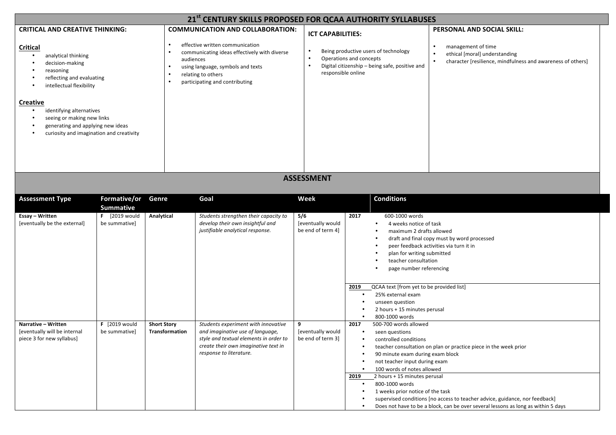| 21st CENTURY SKILLS PROPOSED FOR QCAA AUTHORITY SYLLABUSES                                                                                                                                  |                                       |                                      |                                                                                                                                                                                      |                                                                                                                                                                   |                                                                                                                                                                                                                                                                                                                                       |                                                                                                                                                                                                                                      |
|---------------------------------------------------------------------------------------------------------------------------------------------------------------------------------------------|---------------------------------------|--------------------------------------|--------------------------------------------------------------------------------------------------------------------------------------------------------------------------------------|-------------------------------------------------------------------------------------------------------------------------------------------------------------------|---------------------------------------------------------------------------------------------------------------------------------------------------------------------------------------------------------------------------------------------------------------------------------------------------------------------------------------|--------------------------------------------------------------------------------------------------------------------------------------------------------------------------------------------------------------------------------------|
| <b>CRITICAL AND CREATIVE THINKING:</b>                                                                                                                                                      |                                       | $\bullet$                            | <b>COMMUNICATION AND COLLABORATION:</b><br>effective written communication                                                                                                           | <b>ICT CAPABILITIES:</b>                                                                                                                                          |                                                                                                                                                                                                                                                                                                                                       | PERSONAL AND SOCIAL SKILL:                                                                                                                                                                                                           |
| Critical<br>analytical thinking<br>$\bullet$<br>decision-making<br>$\bullet$<br>reasoning<br>reflecting and evaluating<br>$\bullet$<br>intellectual flexibility<br>٠<br><b>Creative</b>     |                                       | $\bullet$                            | communicating ideas effectively with diverse<br>audiences<br>using language, symbols and texts<br>relating to others<br>participating and contributing                               | Being productive users of technology<br>Operations and concepts<br>$\bullet$<br>Digital citizenship - being safe, positive and<br>$\bullet$<br>responsible online |                                                                                                                                                                                                                                                                                                                                       | management of time<br>ethical [moral] understanding<br>character [resilience, mindfulness and awareness of others]                                                                                                                   |
| identifying alternatives<br>$\bullet$<br>seeing or making new links<br>$\bullet$<br>generating and applying new ideas<br>$\bullet$<br>curiosity and imagination and creativity<br>$\bullet$ |                                       |                                      |                                                                                                                                                                                      |                                                                                                                                                                   |                                                                                                                                                                                                                                                                                                                                       |                                                                                                                                                                                                                                      |
|                                                                                                                                                                                             |                                       |                                      |                                                                                                                                                                                      | <b>ASSESSMENT</b>                                                                                                                                                 |                                                                                                                                                                                                                                                                                                                                       |                                                                                                                                                                                                                                      |
| <b>Assessment Type</b>                                                                                                                                                                      | Formative/or<br><b>Summative</b>      | Genre                                | Goal                                                                                                                                                                                 | Week                                                                                                                                                              | <b>Conditions</b>                                                                                                                                                                                                                                                                                                                     |                                                                                                                                                                                                                                      |
| Essay - Written<br>[eventually be the external]                                                                                                                                             | <b>F</b> [2019 would<br>be summative] | Analytical                           | Students strengthen their capacity to<br>develop their own insightful and<br>justifiable analytical response.                                                                        | 5/6<br>[eventually would<br>be end of term 4]                                                                                                                     | 2017<br>600-1000 words<br>4 weeks notice of task<br>maximum 2 drafts allowed<br>$\bullet$<br>plan for writing submitted<br>teacher consultation<br>page number referencing<br>QCAA text [from yet to be provided list]<br>2019<br>25% external exam<br>$\bullet$<br>unseen question<br>2 hours + 15 minutes perusal<br>800-1000 words | draft and final copy must by word processed<br>peer feedback activities via turn it in                                                                                                                                               |
| Narrative - Written<br>[eventually will be internal<br>piece 3 for new syllabus]                                                                                                            | <b>F</b> [2019 would<br>be summative] | <b>Short Story</b><br>Transformation | Students experiment with innovative<br>and imaginative use of language,<br>style and textual elements in order to<br>create their own imaginative text in<br>response to literature. | 9<br>[eventually would<br>be end of term 3]                                                                                                                       | 500-700 words allowed<br>2017<br>seen questions<br>$\bullet$<br>controlled conditions<br>90 minute exam during exam block<br>not teacher input during exam<br>100 words of notes allowed<br>2 hours + 15 minutes perusal<br>2019<br>800-1000 words<br>$\bullet$<br>1 weeks prior notice of the task<br>$\bullet$<br>$\bullet$         | teacher consultation on plan or practice piece in the week prior<br>supervised conditions [no access to teacher advice, guidance, nor feedback]<br>Does not have to be a block, can be over several lessons as long as within 5 days |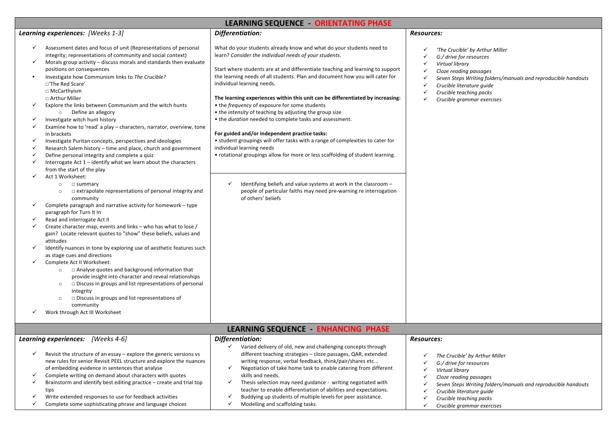| LEARNING SEQUENCE - ORIENTATING PHASE |                                                                                                                                                                                                                                   |                                                                                                                                                                                                                                                                                           |                                                                                                                                                                                 |  |  |  |
|---------------------------------------|-----------------------------------------------------------------------------------------------------------------------------------------------------------------------------------------------------------------------------------|-------------------------------------------------------------------------------------------------------------------------------------------------------------------------------------------------------------------------------------------------------------------------------------------|---------------------------------------------------------------------------------------------------------------------------------------------------------------------------------|--|--|--|
|                                       | Learning experiences: [Weeks 1-3]                                                                                                                                                                                                 | Differentiation:                                                                                                                                                                                                                                                                          | Resources:                                                                                                                                                                      |  |  |  |
| ✓                                     | Assessment dates and focus of unit (Representations of personal<br>integrity; representations of community and social context)<br>Morals group activity - discuss morals and standards then evaluate<br>positions on consequences | What do your students already know and what do your students need to<br>learn? Consider the individual needs of your students.<br>Start where students are at and differentiate teaching and learning to support                                                                          | 'The Crucible' by Arthur Miller<br>G:/ drive for resources<br>Virtual library<br>$\checkmark$<br>$\checkmark$                                                                   |  |  |  |
|                                       | Investigate how Communism links to The Crucible?<br>□'The Red Scare'<br>□ McCarthyism                                                                                                                                             | the learning needs of all students. Plan and document how you will cater for<br>individual learning needs.                                                                                                                                                                                | Cloze reading passages<br>$\checkmark$<br>Seven Steps Writing folders/manuals and reproducible handouts<br>Crucible literature quide<br>$\checkmark$<br>Crucible teaching packs |  |  |  |
|                                       | □ Arthur Miller<br>Explore the links between Communism and the witch hunts<br>o Define an allegory                                                                                                                                | The learning experiences within this unit can be differentiated by increasing:<br>• the frequency of exposure for some students<br>• the intensity of teaching by adjusting the group size                                                                                                | Crucible grammar exercises                                                                                                                                                      |  |  |  |
|                                       | Investigate witch hunt history<br>Examine how to 'read' a play - characters, narrator, overview, tone                                                                                                                             | • the duration needed to complete tasks and assessment.                                                                                                                                                                                                                                   |                                                                                                                                                                                 |  |  |  |
|                                       | in brackets<br>Investigate Puritan concepts, perspectives and ideologies<br>Research Salem history - time and place, church and government                                                                                        | For guided and/or independent practice tasks:<br>• student groupings will offer tasks with a range of complexities to cater for<br>individual learning needs                                                                                                                              |                                                                                                                                                                                 |  |  |  |
|                                       | Define personal integrity and complete a quiz<br>Interrogate Act 1 - identify what we learn about the characters<br>from the start of the play                                                                                    | • rotational groupings allow for more or less scaffolding of student learning.                                                                                                                                                                                                            |                                                                                                                                                                                 |  |  |  |
|                                       | Act 1 Worksheet:<br>$\square$ summary<br>$\circ$<br>$\Box$ extrapolate representations of personal integrity and<br>$\circ$                                                                                                       | Identifying beliefs and value systems at work in the classroom -<br>$\checkmark$<br>people of particular faiths may need pre-warning re interrogation                                                                                                                                     |                                                                                                                                                                                 |  |  |  |
|                                       | community<br>Complete paragraph and narrative activity for homework - type<br>paragraph for Turn It In                                                                                                                            | of others' beliefs                                                                                                                                                                                                                                                                        |                                                                                                                                                                                 |  |  |  |
|                                       | Read and interrogate Act II                                                                                                                                                                                                       |                                                                                                                                                                                                                                                                                           |                                                                                                                                                                                 |  |  |  |
|                                       | Create character map, events and links - who has what to lose /<br>gain? Locate relevant quotes to "show" these beliefs, values and<br>attitudes                                                                                  |                                                                                                                                                                                                                                                                                           |                                                                                                                                                                                 |  |  |  |
|                                       | Identify nuances in tone by exploring use of aesthetic features such<br>as stage cues and directions<br>Complete Act II Worksheet:                                                                                                |                                                                                                                                                                                                                                                                                           |                                                                                                                                                                                 |  |  |  |
|                                       | □ Analyse quotes and background information that<br>$\circ$<br>provide insight into character and reveal relationships                                                                                                            |                                                                                                                                                                                                                                                                                           |                                                                                                                                                                                 |  |  |  |
|                                       | $\square$ Discuss in groups and list representations of personal<br>$\circ$<br>integrity<br>$\square$ Discuss in groups and list representations of<br>$\circ$                                                                    |                                                                                                                                                                                                                                                                                           |                                                                                                                                                                                 |  |  |  |
|                                       | community<br>Work through Act III Worksheet                                                                                                                                                                                       |                                                                                                                                                                                                                                                                                           |                                                                                                                                                                                 |  |  |  |
| LEARNING SEQUENCE - ENHANCING PHASE   |                                                                                                                                                                                                                                   |                                                                                                                                                                                                                                                                                           |                                                                                                                                                                                 |  |  |  |
|                                       | Learning experiences: [Weeks 4-6]                                                                                                                                                                                                 | Differentiation:                                                                                                                                                                                                                                                                          | <b>Resources:</b>                                                                                                                                                               |  |  |  |
|                                       | Revisit the structure of an essay - explore the generic versions vs<br>new rules for senior Revisit PEEL structure and explore the nuances<br>of embedding evidence in sentences that analyse                                     | $\checkmark$ Varied delivery of old, new and challenging concepts through<br>different teaching strategies - cloze passages, QAR, extended<br>writing response, verbal feedback, think/pair/shares etc<br>Negotiation of take home task to enable catering from different<br>$\checkmark$ | The Crucible' by Arthur Miller<br>$\checkmark$<br>G:/ drive for resources                                                                                                       |  |  |  |
|                                       | Complete writing on demand about characters with quotes                                                                                                                                                                           | skills and needs.                                                                                                                                                                                                                                                                         | Virtual library<br>$\checkmark$                                                                                                                                                 |  |  |  |
|                                       | Brainstorm and identify best editing practice - create and trial top<br>tips                                                                                                                                                      | Thesis selection may need guidance - writing negotiated with<br>$\checkmark$<br>teacher to enable differentiation of abilities and expectations.                                                                                                                                          | Cloze reading passages<br>Seven Steps Writing folders/manuals and reproducible handouts<br>Crucible literature guide                                                            |  |  |  |
|                                       | Write extended responses to use for feedback activities<br>Complete some sophisticating phrase and language choices                                                                                                               | Buddying up students of multiple levels for peer assistance.<br>$\checkmark$<br>Modelling and scaffolding tasks.<br>$\checkmark$                                                                                                                                                          | $\checkmark$<br>Crucible teaching packs<br>Crucible grammar exercises<br>$\checkmark$                                                                                           |  |  |  |